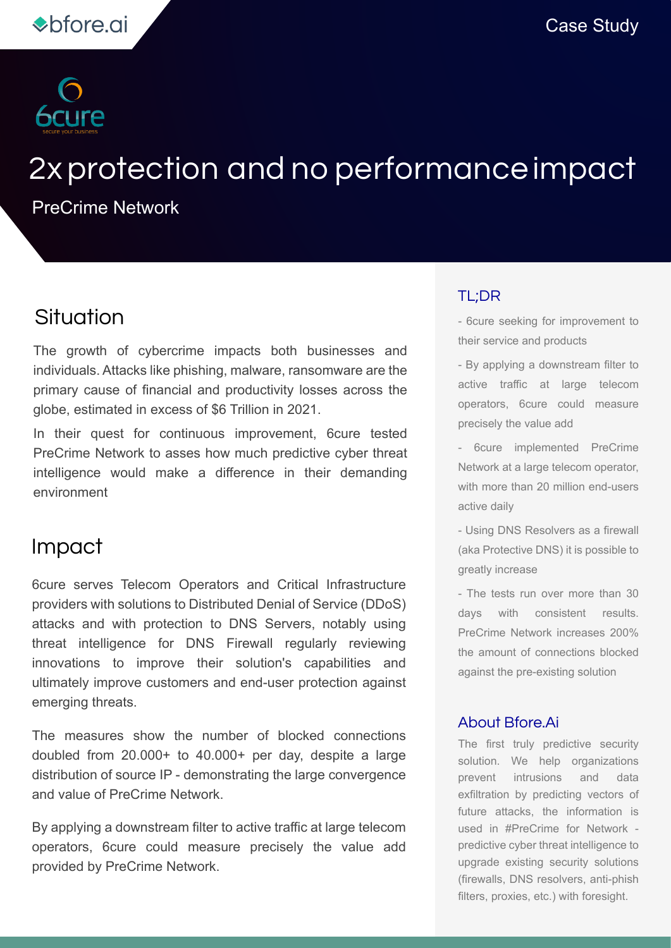

# 2xprotection and no performanceimpact

PreCrime Network

### Situation

The growth of cybercrime impacts both businesses and individuals. Attacks like phishing, malware, ransomware are the primary cause of financial and productivity losses across the globe, estimated in excess of \$6 Trillion in 2021.

In their quest for continuous improvement, 6cure tested PreCrime Network to asses how much predictive cyber threat intelligence would make a difference in their demanding environment

### Impact

6cure serves Telecom Operators and Critical Infrastructure providers with solutions to Distributed Denial of Service (DDoS) attacks and with protection to DNS Servers, notably using threat intelligence for DNS Firewall regularly reviewing innovations to improve their solution's capabilities and ultimately improve customers and end-user protection against emerging threats.

The measures show the number of blocked connections doubled from 20.000+ to 40.000+ per day, despite a large distribution of source IP - demonstrating the large convergence and value of PreCrime Network.

By applying a downstream filter to active traffic at large telecom operators, 6cure could measure precisely the value add provided by PreCrime Network.

#### TL;DR

- 6cure seeking for improvement to their service and products

- By applying a downstream filter to active traffic at large telecom operators, 6cure could measure precisely the value add

- 6cure implemented PreCrime Network at a large telecom operator, with more than 20 million end-users active daily

- Using DNS Resolvers as a firewall (aka Protective DNS) it is possible to greatly increase

- The tests run over more than 30 days with consistent results. PreCrime Network increases 200% the amount of connections blocked against the pre-existing solution

#### About Bfore.Ai

The first truly predictive security solution. We help organizations prevent intrusions and data exfiltration by predicting vectors of future attacks, the information is used in #PreCrime for Network predictive cyber threat intelligence to upgrade existing security solutions (firewalls, DNS resolvers, anti-phish filters, proxies, etc.) with foresight.